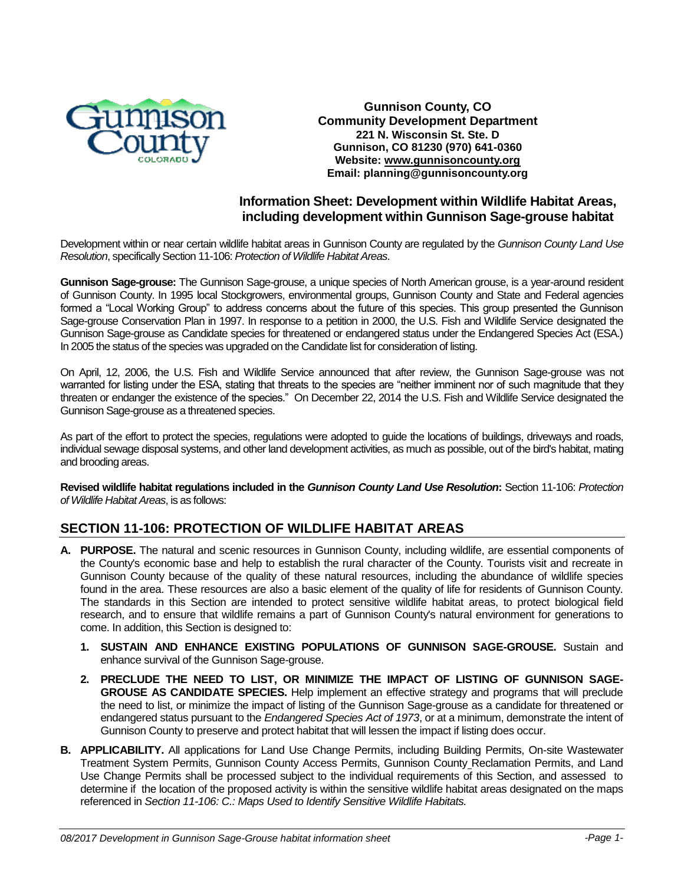

#### **Gunnison County, CO Community Development Department 221 N. Wisconsin St. Ste. D Gunnison, CO 81230 (970) 641-0360 Website: [www.gunnisoncounty.org](http://www.gunnisoncounty.org/) Email: planning@gunnisoncounty.org**

## **Information Sheet: Development within Wildlife Habitat Areas, including development within Gunnison Sage-grouse habitat**

Development within or near certain wildlife habitat areas in Gunnison County are regulated by the *Gunnison County Land Use Resolution*, specifically Section 11-106: *Protection of Wildlife Habitat Areas*.

**Gunnison Sage-grouse:** The Gunnison Sage-grouse, a unique species of North American grouse, is a year-around resident of Gunnison County. In 1995 local Stockgrowers, environmental groups, Gunnison County and State and Federal agencies formed a "Local Working Group" to address concerns about the future of this species. This group presented the Gunnison Sage-grouse Conservation Plan in 1997. In response to a petition in 2000, the U.S. Fish and Wildlife Service designated the Gunnison Sage-grouse as Candidate species for threatened or endangered status under the Endangered Species Act (ESA.) In 2005 the status of the species was upgraded on the Candidate list for consideration of listing.

On April, 12, 2006, the U.S. Fish and Wildlife Service announced that after review, the Gunnison Sage-grouse was not warranted for listing under the ESA, stating that threats to the species are "neither imminent nor of such magnitude that they threaten or endanger the existence of the species." On December 22, 2014 the U.S. Fish and Wildlife Service designated the Gunnison Sage-grouse as a threatened species.

As part of the effort to protect the species, regulations were adopted to guide the locations of buildings, driveways and roads, individual sewage disposal systems, and other land development activities, as much as possible, out of the bird's habitat, mating and brooding areas.

**Revised wildlife habitat regulations included in the** *Gunnison County Land Use Resolution***:** Section 11-106: *Protection of Wildlife Habitat Areas*, is as follows:

# **SECTION 11-106: PROTECTION OF WILDLIFE HABITAT AREAS**

- **A. PURPOSE.** The natural and scenic resources in Gunnison County, including wildlife, are essential components of the County's economic base and help to establish the rural character of the County. Tourists visit and recreate in Gunnison County because of the quality of these natural resources, including the abundance of wildlife species found in the area. These resources are also a basic element of the quality of life for residents of Gunnison County. The standards in this Section are intended to protect sensitive wildlife habitat areas, to protect biological field research, and to ensure that wildlife remains a part of Gunnison County's natural environment for generations to come. In addition, this Section is designed to:
	- **1. SUSTAIN AND ENHANCE EXISTING POPULATIONS OF GUNNISON SAGE-GROUSE.** Sustain and enhance survival of the Gunnison Sage-grouse.
	- **2. PRECLUDE THE NEED TO LIST, OR MINIMIZE THE IMPACT OF LISTING OF GUNNISON SAGE-GROUSE AS CANDIDATE SPECIES.** Help implement an effective strategy and programs that will preclude the need to list, or minimize the impact of listing of the Gunnison Sage-grouse as a candidate for threatened or endangered status pursuant to the *Endangered Species Act of 1973*, or at a minimum, demonstrate the intent of Gunnison County to preserve and protect habitat that will lessen the impact if listing does occur.
- **B. APPLICABILITY.** All applications for Land Use Change Permits, including Building Permits, On-site Wastewater Treatment System Permits, Gunnison County Access Permits, Gunnison County Reclamation Permits, and Land Use Change Permits shall be processed subject to the individual requirements of this Section, and assessed to determine if the location of the proposed activity is within the sensitive wildlife habitat areas designated on the maps referenced in *[Section 11-106: C.: Maps Used to Identify Sensitive Wildlife Habitats.](#page-1-0)*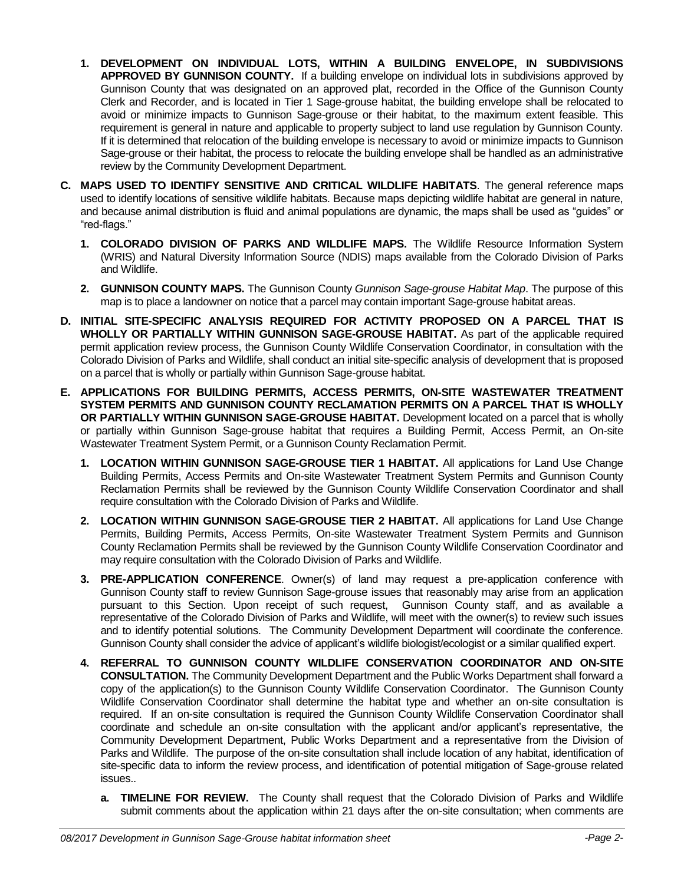- **1. DEVELOPMENT ON INDIVIDUAL LOTS, WITHIN A BUILDING ENVELOPE, IN SUBDIVISIONS APPROVED BY GUNNISON COUNTY.** If a building envelope on individual lots in subdivisions approved by Gunnison County that was designated on an approved plat, recorded in the Office of the Gunnison County Clerk and Recorder, and is located in Tier 1 Sage-grouse habitat, the building envelope shall be relocated to avoid or minimize impacts to Gunnison Sage-grouse or their habitat, to the maximum extent feasible. This requirement is general in nature and applicable to property subject to land use regulation by Gunnison County. If it is determined that relocation of the building envelope is necessary to avoid or minimize impacts to Gunnison Sage-grouse or their habitat, the process to relocate the building envelope shall be handled as an administrative review by the Community Development Department.
- <span id="page-1-0"></span>**C. MAPS USED TO IDENTIFY SENSITIVE AND CRITICAL WILDLIFE HABITATS**. The general reference maps used to identify locations of sensitive wildlife habitats. Because maps depicting wildlife habitat are general in nature, and because animal distribution is fluid and animal populations are dynamic, the maps shall be used as "guides" or "red-flags."
	- **1. COLORADO DIVISION OF PARKS AND WILDLIFE MAPS.** The Wildlife Resource Information System (WRIS) and Natural Diversity Information Source (NDIS) maps available from the Colorado Division of Parks and Wildlife.
	- **2. GUNNISON COUNTY MAPS.** The Gunnison County *Gunnison Sage-grouse Habitat Map*. The purpose of this map is to place a landowner on notice that a parcel may contain important Sage-grouse habitat areas.
- **D. INITIAL SITE-SPECIFIC ANALYSIS REQUIRED FOR ACTIVITY PROPOSED ON A PARCEL THAT IS WHOLLY OR PARTIALLY WITHIN GUNNISON SAGE-GROUSE HABITAT.** As part of the applicable required permit application review process, the Gunnison County Wildlife Conservation Coordinator, in consultation with the Colorado Division of Parks and Wildlife, shall conduct an initial site-specific analysis of development that is proposed on a parcel that is wholly or partially within Gunnison Sage-grouse habitat.
- **E. APPLICATIONS FOR BUILDING PERMITS, ACCESS PERMITS, ON-SITE WASTEWATER TREATMENT SYSTEM PERMITS AND GUNNISON COUNTY RECLAMATION PERMITS ON A PARCEL THAT IS WHOLLY OR PARTIALLY WITHIN GUNNISON SAGE-GROUSE HABITAT.** Development located on a parcel that is wholly or partially within Gunnison Sage-grouse habitat that requires a Building Permit, Access Permit, an On-site Wastewater Treatment System Permit, or a Gunnison County Reclamation Permit.
	- **1. LOCATION WITHIN GUNNISON SAGE-GROUSE TIER 1 HABITAT.** All applications for Land Use Change Building Permits, Access Permits and On-site Wastewater Treatment System Permits and Gunnison County Reclamation Permits shall be reviewed by the Gunnison County Wildlife Conservation Coordinator and shall require consultation with the Colorado Division of Parks and Wildlife.
	- **2. LOCATION WITHIN GUNNISON SAGE-GROUSE TIER 2 HABITAT.** All applications for Land Use Change Permits, Building Permits, Access Permits, On-site Wastewater Treatment System Permits and Gunnison County Reclamation Permits shall be reviewed by the Gunnison County Wildlife Conservation Coordinator and may require consultation with the Colorado Division of Parks and Wildlife.
	- **3. PRE-APPLICATION CONFERENCE**. Owner(s) of land may request a pre-application conference with Gunnison County staff to review Gunnison Sage-grouse issues that reasonably may arise from an application pursuant to this Section. Upon receipt of such request, Gunnison County staff, and as available a representative of the Colorado Division of Parks and Wildlife, will meet with the owner(s) to review such issues and to identify potential solutions. The Community Development Department will coordinate the conference. Gunnison County shall consider the advice of applicant's wildlife biologist/ecologist or a similar qualified expert.
	- **4. REFERRAL TO GUNNISON COUNTY WILDLIFE CONSERVATION COORDINATOR AND ON-SITE CONSULTATION.** The Community Development Department and the Public Works Department shall forward a copy of the application(s) to the Gunnison County Wildlife Conservation Coordinator. The Gunnison County Wildlife Conservation Coordinator shall determine the habitat type and whether an on-site consultation is required. If an on-site consultation is required the Gunnison County Wildlife Conservation Coordinator shall coordinate and schedule an on-site consultation with the applicant and/or applicant's representative, the Community Development Department, Public Works Department and a representative from the Division of Parks and Wildlife. The purpose of the on-site consultation shall include location of any habitat, identification of site-specific data to inform the review process, and identification of potential mitigation of Sage-grouse related issues..
		- **a. TIMELINE FOR REVIEW.** The County shall request that the Colorado Division of Parks and Wildlife submit comments about the application within 21 days after the on-site consultation; when comments are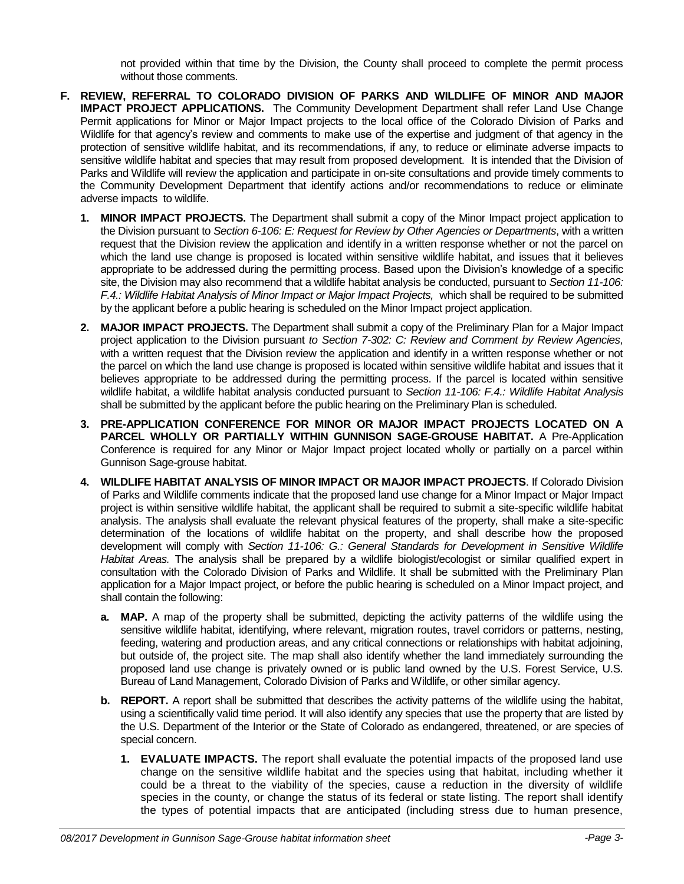not provided within that time by the Division, the County shall proceed to complete the permit process without those comments.

- <span id="page-2-0"></span>**F. REVIEW, REFERRAL TO COLORADO DIVISION OF PARKS AND WILDLIFE OF MINOR AND MAJOR IMPACT PROJECT APPLICATIONS.** The Community Development Department shall refer Land Use Change Permit applications for Minor or Major Impact projects to the local office of the Colorado Division of Parks and Wildlife for that agency's review and comments to make use of the expertise and judgment of that agency in the protection of sensitive wildlife habitat, and its recommendations, if any, to reduce or eliminate adverse impacts to sensitive wildlife habitat and species that may result from proposed development. It is intended that the Division of Parks and Wildlife will review the application and participate in on-site consultations and provide timely comments to the Community Development Department that identify actions and/or recommendations to reduce or eliminate adverse impacts to wildlife.
	- **1. MINOR IMPACT PROJECTS.** The Department shall submit a copy of the Minor Impact project application to the Division pursuant to *Section 6-106: E: Request for Review by Other Agencies or Departments*, with a written request that the Division review the application and identify in a written response whether or not the parcel on which the land use change is proposed is located within sensitive wildlife habitat, and issues that it believes appropriate to be addressed during the permitting process. Based upon the Division's knowledge of a specific site, the Division may also recommend that a wildlife habitat analysis be conducted, pursuant to *[Section 11-106:](#page-2-0)  F.4.: Wildlife Habitat Analysis [of Minor Impact or Major Impact Projects,](#page-2-0)* which shall be required to be submitted by the applicant before a public hearing is scheduled on the Minor Impact project application.
	- **2. MAJOR IMPACT PROJECTS.** The Department shall submit a copy of the Preliminary Plan for a Major Impact project application to the Division pursuant *to Section 7-302: C: Review and Comment by Review Agencies,* with a written request that the Division review the application and identify in a written response whether or not the parcel on which the land use change is proposed is located within sensitive wildlife habitat and issues that it believes appropriate to be addressed during the permitting process. If the parcel is located within sensitive wildlife habitat, a wildlife habitat analysis conducted pursuant to *[Section 11-106: F.4.: Wildlife Habitat Analysis](#page-2-0)* shall be submitted by the applicant before the public hearing on the Preliminary Plan is scheduled.
	- **3. PRE-APPLICATION CONFERENCE FOR MINOR OR MAJOR IMPACT PROJECTS LOCATED ON A PARCEL WHOLLY OR PARTIALLY WITHIN GUNNISON SAGE-GROUSE HABITAT.** A Pre-Application Conference is required for any Minor or Major Impact project located wholly or partially on a parcel within Gunnison Sage-grouse habitat.
	- **4. WILDLIFE HABITAT ANALYSIS OF MINOR IMPACT OR MAJOR IMPACT PROJECTS**. If Colorado Division of Parks and Wildlife comments indicate that the proposed land use change for a Minor Impact or Major Impact project is within sensitive wildlife habitat, the applicant shall be required to submit a site-specific wildlife habitat analysis. The analysis shall evaluate the relevant physical features of the property, shall make a site-specific determination of the locations of wildlife habitat on the property, and shall describe how the proposed development will comply with *[Section 11-106: G.: General Standards for Development in Sensitive Wildlife](#page-3-0)  [Habitat Areas.](#page-3-0)* The analysis shall be prepared by a wildlife biologist/ecologist or similar qualified expert in consultation with the Colorado Division of Parks and Wildlife. It shall be submitted with the Preliminary Plan application for a Major Impact project, or before the public hearing is scheduled on a Minor Impact project, and shall contain the following:
		- **a. MAP.** A map of the property shall be submitted, depicting the activity patterns of the wildlife using the sensitive wildlife habitat, identifying, where relevant, migration routes, travel corridors or patterns, nesting, feeding, watering and production areas, and any critical connections or relationships with habitat adjoining, but outside of, the project site. The map shall also identify whether the land immediately surrounding the proposed land use change is privately owned or is public land owned by the U.S. Forest Service, U.S. Bureau of Land Management, Colorado Division of Parks and Wildlife, or other similar agency.
		- **b. REPORT.** A report shall be submitted that describes the activity patterns of the wildlife using the habitat, using a scientifically valid time period. It will also identify any species that use the property that are listed by the U.S. Department of the Interior or the State of Colorado as endangered, threatened, or are species of special concern.
			- **1. EVALUATE IMPACTS.** The report shall evaluate the potential impacts of the proposed land use change on the sensitive wildlife habitat and the species using that habitat, including whether it could be a threat to the viability of the species, cause a reduction in the diversity of wildlife species in the county, or change the status of its federal or state listing. The report shall identify the types of potential impacts that are anticipated (including stress due to human presence,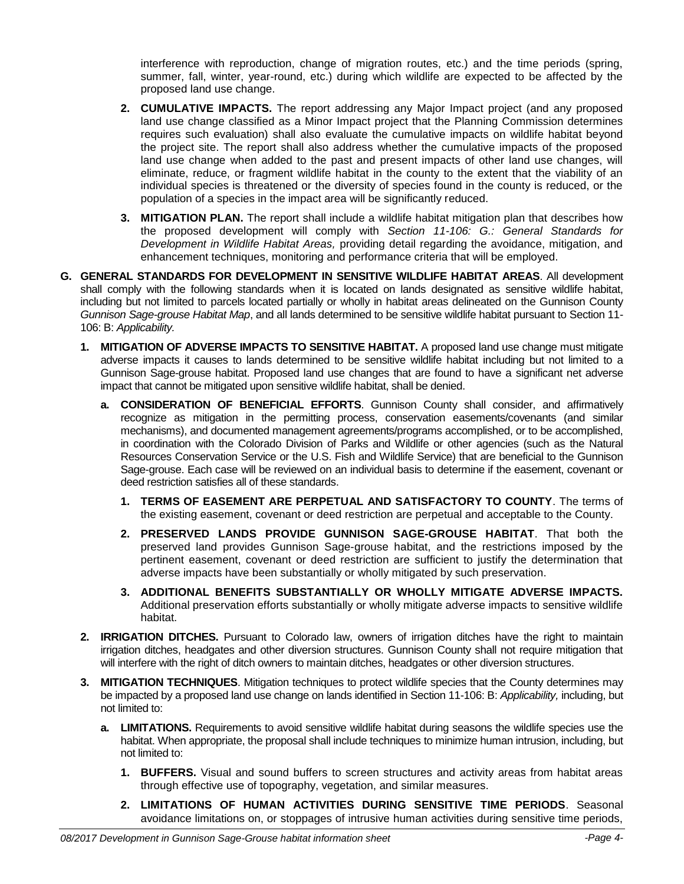interference with reproduction, change of migration routes, etc.) and the time periods (spring, summer, fall, winter, year-round, etc.) during which wildlife are expected to be affected by the proposed land use change.

- **2. CUMULATIVE IMPACTS.** The report addressing any Major Impact project (and any proposed land use change classified as a Minor Impact project that the Planning Commission determines requires such evaluation) shall also evaluate the cumulative impacts on wildlife habitat beyond the project site. The report shall also address whether the cumulative impacts of the proposed land use change when added to the past and present impacts of other land use changes, will eliminate, reduce, or fragment wildlife habitat in the county to the extent that the viability of an individual species is threatened or the diversity of species found in the county is reduced, or the population of a species in the impact area will be significantly reduced.
- **3. MITIGATION PLAN.** The report shall include a wildlife habitat mitigation plan that describes how the proposed development will comply with *[Section 11-106: G.: General Standards for](#page-3-0)  [Development in Wildlife Habitat Areas,](#page-3-0)* providing detail regarding the avoidance, mitigation, and enhancement techniques, monitoring and performance criteria that will be employed.
- <span id="page-3-0"></span>**G. GENERAL STANDARDS FOR DEVELOPMENT IN SENSITIVE WILDLIFE HABITAT AREAS**. All development shall comply with the following standards when it is located on lands designated as sensitive wildlife habitat, including but not limited to parcels located partially or wholly in habitat areas delineated on the Gunnison County *Gunnison Sage-grouse Habitat Map*, and all lands determined to be sensitive wildlife habitat pursuant to Section 11- 106: B: *Applicability.*
	- **1. MITIGATION OF ADVERSE IMPACTS TO SENSITIVE HABITAT.** A proposed land use change must mitigate adverse impacts it causes to lands determined to be sensitive wildlife habitat including but not limited to a Gunnison Sage-grouse habitat. Proposed land use changes that are found to have a significant net adverse impact that cannot be mitigated upon sensitive wildlife habitat, shall be denied.
		- **a. CONSIDERATION OF BENEFICIAL EFFORTS**. Gunnison County shall consider, and affirmatively recognize as mitigation in the permitting process, conservation easements/covenants (and similar mechanisms), and documented management agreements/programs accomplished, or to be accomplished, in coordination with the Colorado Division of Parks and Wildlife or other agencies (such as the Natural Resources Conservation Service or the U.S. Fish and Wildlife Service) that are beneficial to the Gunnison Sage-grouse. Each case will be reviewed on an individual basis to determine if the easement, covenant or deed restriction satisfies all of these standards.
			- **1. TERMS OF EASEMENT ARE PERPETUAL AND SATISFACTORY TO COUNTY**. The terms of the existing easement, covenant or deed restriction are perpetual and acceptable to the County.
			- **2. PRESERVED LANDS PROVIDE GUNNISON SAGE-GROUSE HABITAT**. That both the preserved land provides Gunnison Sage-grouse habitat, and the restrictions imposed by the pertinent easement, covenant or deed restriction are sufficient to justify the determination that adverse impacts have been substantially or wholly mitigated by such preservation.
			- **3. ADDITIONAL BENEFITS SUBSTANTIALLY OR WHOLLY MITIGATE ADVERSE IMPACTS.** Additional preservation efforts substantially or wholly mitigate adverse impacts to sensitive wildlife habitat.
	- **2. IRRIGATION DITCHES.** Pursuant to Colorado law, owners of irrigation ditches have the right to maintain irrigation ditches, headgates and other diversion structures. Gunnison County shall not require mitigation that will interfere with the right of ditch owners to maintain ditches, headgates or other diversion structures.
	- **3. MITIGATION TECHNIQUES**. Mitigation techniques to protect wildlife species that the County determines may be impacted by a proposed land use change on lands identified in Section 11-106: B: *Applicability,* including, but not limited to:
		- **a. LIMITATIONS.** Requirements to avoid sensitive wildlife habitat during seasons the wildlife species use the habitat. When appropriate, the proposal shall include techniques to minimize human intrusion, including, but not limited to:
			- **1. BUFFERS.** Visual and sound buffers to screen structures and activity areas from habitat areas through effective use of topography, vegetation, and similar measures.
			- **2. LIMITATIONS OF HUMAN ACTIVITIES DURING SENSITIVE TIME PERIODS**. Seasonal avoidance limitations on, or stoppages of intrusive human activities during sensitive time periods,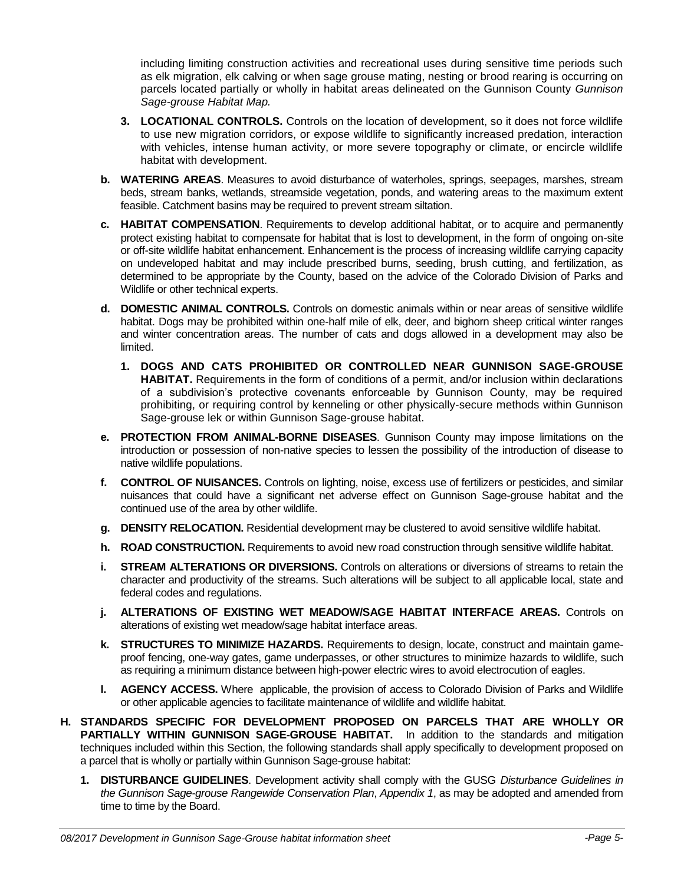including limiting construction activities and recreational uses during sensitive time periods such as elk migration, elk calving or when sage grouse mating, nesting or brood rearing is occurring on parcels located partially or wholly in habitat areas delineated on the Gunnison County *Gunnison Sage-grouse Habitat Map.*

- **3. LOCATIONAL CONTROLS.** Controls on the location of development, so it does not force wildlife to use new migration corridors, or expose wildlife to significantly increased predation, interaction with vehicles, intense human activity, or more severe topography or climate, or encircle wildlife habitat with development.
- **b. WATERING AREAS**. Measures to avoid disturbance of waterholes, springs, seepages, marshes, stream beds, stream banks, wetlands, streamside vegetation, ponds, and watering areas to the maximum extent feasible. Catchment basins may be required to prevent stream siltation.
- **c. HABITAT COMPENSATION**. Requirements to develop additional habitat, or to acquire and permanently protect existing habitat to compensate for habitat that is lost to development, in the form of ongoing on-site or off-site wildlife habitat enhancement. Enhancement is the process of increasing wildlife carrying capacity on undeveloped habitat and may include prescribed burns, seeding, brush cutting, and fertilization, as determined to be appropriate by the County, based on the advice of the Colorado Division of Parks and Wildlife or other technical experts.
- **d. DOMESTIC ANIMAL CONTROLS.** Controls on domestic animals within or near areas of sensitive wildlife habitat. Dogs may be prohibited within one-half mile of elk, deer, and bighorn sheep critical winter ranges and winter concentration areas. The number of cats and dogs allowed in a development may also be limited.
	- **1. DOGS AND CATS PROHIBITED OR CONTROLLED NEAR GUNNISON SAGE-GROUSE HABITAT.** Requirements in the form of conditions of a permit, and/or inclusion within declarations of a subdivision's protective covenants enforceable by Gunnison County, may be required prohibiting, or requiring control by kenneling or other physically-secure methods within Gunnison Sage-grouse lek or within Gunnison Sage-grouse habitat.
- **e. PROTECTION FROM ANIMAL-BORNE DISEASES**. Gunnison County may impose limitations on the introduction or possession of non-native species to lessen the possibility of the introduction of disease to native wildlife populations.
- **f. CONTROL OF NUISANCES.** Controls on lighting, noise, excess use of fertilizers or pesticides, and similar nuisances that could have a significant net adverse effect on Gunnison Sage-grouse habitat and the continued use of the area by other wildlife.
- **g. DENSITY RELOCATION.** Residential development may be clustered to avoid sensitive wildlife habitat.
- **h. ROAD CONSTRUCTION.** Requirements to avoid new road construction through sensitive wildlife habitat.
- **i. STREAM ALTERATIONS OR DIVERSIONS.** Controls on alterations or diversions of streams to retain the character and productivity of the streams. Such alterations will be subject to all applicable local, state and federal codes and regulations.
- **j. ALTERATIONS OF EXISTING WET MEADOW/SAGE HABITAT INTERFACE AREAS.** Controls on alterations of existing wet meadow/sage habitat interface areas.
- **k. STRUCTURES TO MINIMIZE HAZARDS.** Requirements to design, locate, construct and maintain gameproof fencing, one-way gates, game underpasses, or other structures to minimize hazards to wildlife, such as requiring a minimum distance between high-power electric wires to avoid electrocution of eagles.
- **l. AGENCY ACCESS.** Where applicable, the provision of access to Colorado Division of Parks and Wildlife or other applicable agencies to facilitate maintenance of wildlife and wildlife habitat.
- **H. STANDARDS SPECIFIC FOR DEVELOPMENT PROPOSED ON PARCELS THAT ARE WHOLLY OR PARTIALLY WITHIN GUNNISON SAGE-GROUSE HABITAT.** In addition to the standards and mitigation techniques included within this Section, the following standards shall apply specifically to development proposed on a parcel that is wholly or partially within Gunnison Sage-grouse habitat:
	- **1. DISTURBANCE GUIDELINES**. Development activity shall comply with the GUSG *Disturbance Guidelines in the Gunnison Sage-grouse Rangewide Conservation Plan*, *Appendix 1*, as may be adopted and amended from time to time by the Board.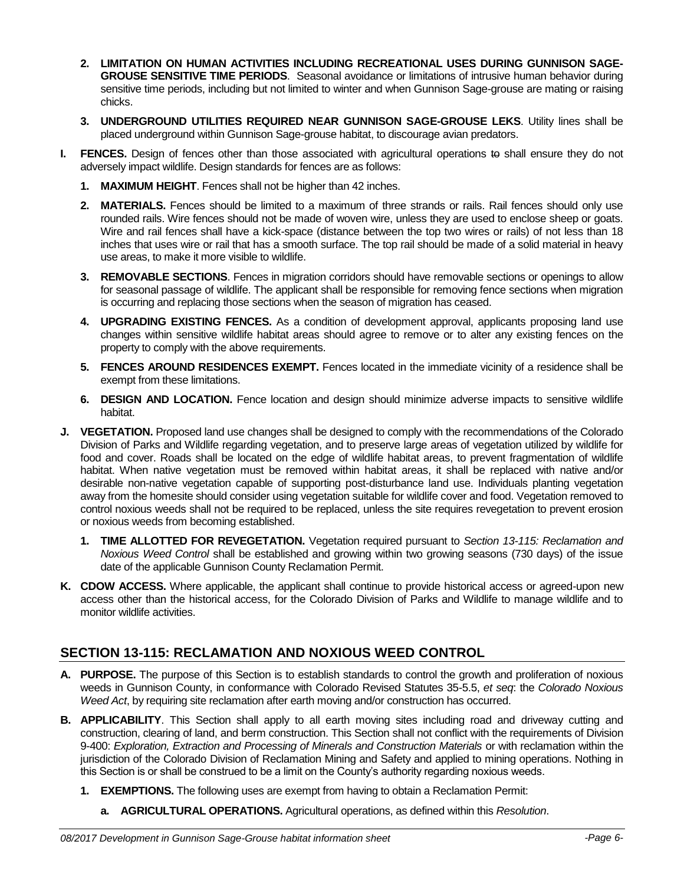- **2. LIMITATION ON HUMAN ACTIVITIES INCLUDING RECREATIONAL USES DURING GUNNISON SAGE-GROUSE SENSITIVE TIME PERIODS**. Seasonal avoidance or limitations of intrusive human behavior during sensitive time periods, including but not limited to winter and when Gunnison Sage-grouse are mating or raising chicks.
- **3. UNDERGROUND UTILITIES REQUIRED NEAR GUNNISON SAGE-GROUSE LEKS**. Utility lines shall be placed underground within Gunnison Sage-grouse habitat, to discourage avian predators.
- **I. FENCES.** Design of fences other than those associated with agricultural operations to shall ensure they do not adversely impact wildlife. Design standards for fences are as follows:
	- **1. MAXIMUM HEIGHT**. Fences shall not be higher than 42 inches.
	- **2. MATERIALS.** Fences should be limited to a maximum of three strands or rails. Rail fences should only use rounded rails. Wire fences should not be made of woven wire, unless they are used to enclose sheep or goats. Wire and rail fences shall have a kick-space (distance between the top two wires or rails) of not less than 18 inches that uses wire or rail that has a smooth surface. The top rail should be made of a solid material in heavy use areas, to make it more visible to wildlife.
	- **3. REMOVABLE SECTIONS**. Fences in migration corridors should have removable sections or openings to allow for seasonal passage of wildlife. The applicant shall be responsible for removing fence sections when migration is occurring and replacing those sections when the season of migration has ceased.
	- **4. UPGRADING EXISTING FENCES.** As a condition of development approval, applicants proposing land use changes within sensitive wildlife habitat areas should agree to remove or to alter any existing fences on the property to comply with the above requirements.
	- **5. FENCES AROUND RESIDENCES EXEMPT.** Fences located in the immediate vicinity of a residence shall be exempt from these limitations.
	- **6. DESIGN AND LOCATION.** Fence location and design should minimize adverse impacts to sensitive wildlife habitat.
- **J. VEGETATION.** Proposed land use changes shall be designed to comply with the recommendations of the Colorado Division of Parks and Wildlife regarding vegetation, and to preserve large areas of vegetation utilized by wildlife for food and cover. Roads shall be located on the edge of wildlife habitat areas, to prevent fragmentation of wildlife habitat. When native vegetation must be removed within habitat areas, it shall be replaced with native and/or desirable non-native vegetation capable of supporting post-disturbance land use. Individuals planting vegetation away from the homesite should consider using vegetation suitable for wildlife cover and food. Vegetation removed to control noxious weeds shall not be required to be replaced, unless the site requires revegetation to prevent erosion or noxious weeds from becoming established.
	- **1. TIME ALLOTTED FOR REVEGETATION.** Vegetation required pursuant to *[Section 13-115: Reclamation and](#page-5-0)  [Noxious Weed Control](#page-5-0)* shall be established and growing within two growing seasons (730 days) of the issue date of the applicable Gunnison County Reclamation Permit.
- **K. CDOW ACCESS.** Where applicable, the applicant shall continue to provide historical access or agreed-upon new access other than the historical access, for the Colorado Division of Parks and Wildlife to manage wildlife and to monitor wildlife activities.

### <span id="page-5-0"></span>**SECTION 13-115: RECLAMATION AND NOXIOUS WEED CONTROL**

- **A. PURPOSE.** The purpose of this Section is to establish standards to control the growth and proliferation of noxious weeds in Gunnison County, in conformance with Colorado Revised Statutes 35-5.5, *et seq*: the *Colorado Noxious Weed Act*, by requiring site reclamation after earth moving and/or construction has occurred.
- **B. APPLICABILITY**. This Section shall apply to all earth moving sites including road and driveway cutting and construction, clearing of land, and berm construction. This Section shall not conflict with the requirements of Division 9-400: *Exploration, Extraction and Processing of Minerals and Construction Materials* or with reclamation within the jurisdiction of the Colorado Division of Reclamation Mining and Safety and applied to mining operations. Nothing in this Section is or shall be construed to be a limit on the County's authority regarding noxious weeds.
	- **1. EXEMPTIONS.** The following uses are exempt from having to obtain a Reclamation Permit:
		- **a. AGRICULTURAL OPERATIONS.** Agricultural operations, as defined within this *Resolution*.